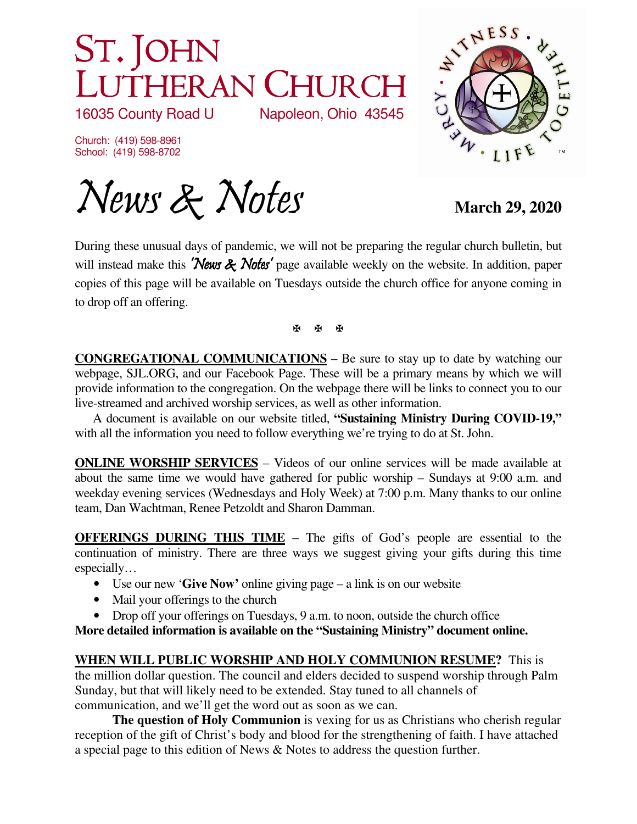## ST. JOHN LUTHERAN CHURCH<br>16035 County Road U Napoleon, Ohio 43545

16035 County Road U

Church: (419) 598-8961 School: (419) 598-8702



News & Notes March 29, 2020

During these unusual days of pandemic, we will not be preparing the regular church bulletin, but will instead make this **'News & Notes'** page available weekly on the website. In addition, paper copies of this page will be available on Tuesdays outside the church office for anyone coming in to drop off an offering.

**K K K** 

**CONGREGATIONAL COMMUNICATIONS** – Be sure to stay up to date by watching our webpage, SJL.ORG, and our Facebook Page. These will be a primary means by which we will provide information to the congregation. On the webpage there will be links to connect you to our live-streamed and archived worship services, as well as other information.

 A document is available on our website titled, **"Sustaining Ministry During COVID-19,"** with all the information you need to follow everything we're trying to do at St. John.

**ONLINE WORSHIP SERVICES** – Videos of our online services will be made available at about the same time we would have gathered for public worship – Sundays at 9:00 a.m. and weekday evening services (Wednesdays and Holy Week) at 7:00 p.m. Many thanks to our online team, Dan Wachtman, Renee Petzoldt and Sharon Damman.

**OFFERINGS DURING THIS TIME** – The gifts of God's people are essential to the continuation of ministry. There are three ways we suggest giving your gifts during this time especially…

- Use our new '**Give Now'** online giving page a link is on our website
- Mail your offerings to the church
- Drop off your offerings on Tuesdays, 9 a.m. to noon, outside the church office

**More detailed information is available on the "Sustaining Ministry" document online.** 

**WHEN WILL PUBLIC WORSHIP AND HOLY COMMUNION RESUME?** This is the million dollar question. The council and elders decided to suspend worship through Palm Sunday, but that will likely need to be extended. Stay tuned to all channels of communication, and we'll get the word out as soon as we can.

**The question of Holy Communion** is vexing for us as Christians who cherish regular reception of the gift of Christ's body and blood for the strengthening of faith. I have attached a special page to this edition of News & Notes to address the question further.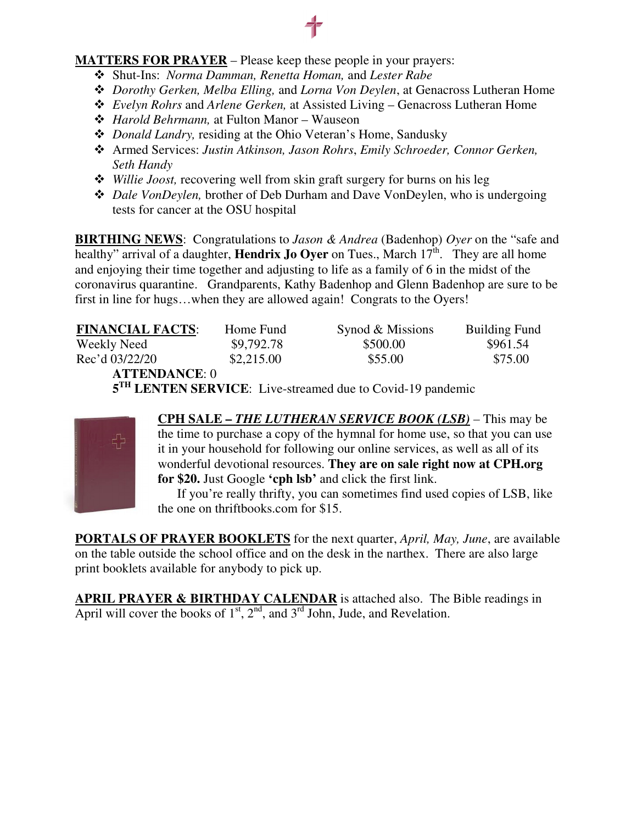## **MATTERS FOR PRAYER** – Please keep these people in your prayers:

- Shut-Ins: *Norma Damman, Renetta Homan,* and *Lester Rabe*
- *Dorothy Gerken, Melba Elling,* and *Lorna Von Deylen*, at Genacross Lutheran Home
- *Evelyn Rohrs* and *Arlene Gerken,* at Assisted Living Genacross Lutheran Home
- *Harold Behrmann,* at Fulton Manor Wauseon
- *Donald Landry,* residing at the Ohio Veteran's Home, Sandusky
- Armed Services: *Justin Atkinson, Jason Rohrs*, *Emily Schroeder, Connor Gerken, Seth Handy*
- *Willie Joost,* recovering well from skin graft surgery for burns on his leg
- *Dale VonDeylen,* brother of Deb Durham and Dave VonDeylen, who is undergoing tests for cancer at the OSU hospital

**BIRTHING NEWS**: Congratulations to *Jason & Andrea* (Badenhop) *Oyer* on the "safe and healthy" arrival of a daughter, **Hendrix Jo Oyer** on Tues., March  $17<sup>th</sup>$ . They are all home and enjoying their time together and adjusting to life as a family of 6 in the midst of the coronavirus quarantine. Grandparents, Kathy Badenhop and Glenn Badenhop are sure to be first in line for hugs…when they are allowed again! Congrats to the Oyers!

| <b>FINANCIAL FACTS:</b> | Home Fund  | Synod & Missions                                                       | <b>Building Fund</b> |
|-------------------------|------------|------------------------------------------------------------------------|----------------------|
| Weekly Need             | \$9,792.78 | \$500.00                                                               | \$961.54             |
| Rec'd 03/22/20          | \$2,215.00 | \$55.00                                                                | \$75.00              |
| <b>ATTENDANCE: 0</b>    |            |                                                                        |                      |
|                         |            | 5 <sup>TH</sup> LENTEN SERVICE: Live-streamed due to Covid-19 pandemic |                      |



**CPH SALE –** *THE LUTHERAN SERVICE BOOK (LSB) –* This may be the time to purchase a copy of the hymnal for home use, so that you can use it in your household for following our online services, as well as all of its wonderful devotional resources. **They are on sale right now at CPH.org for \$20.** Just Google **'cph lsb'** and click the first link.

 If you're really thrifty, you can sometimes find used copies of LSB, like the one on thriftbooks.com for \$15.

**PORTALS OF PRAYER BOOKLETS** for the next quarter, *April, May, June*, are available on the table outside the school office and on the desk in the narthex. There are also large print booklets available for anybody to pick up.

**APRIL PRAYER & BIRTHDAY CALENDAR** is attached also. The Bible readings in April will cover the books of  $1<sup>st</sup>$ ,  $2<sup>nd</sup>$ , and  $3<sup>rd</sup>$  John, Jude, and Revelation.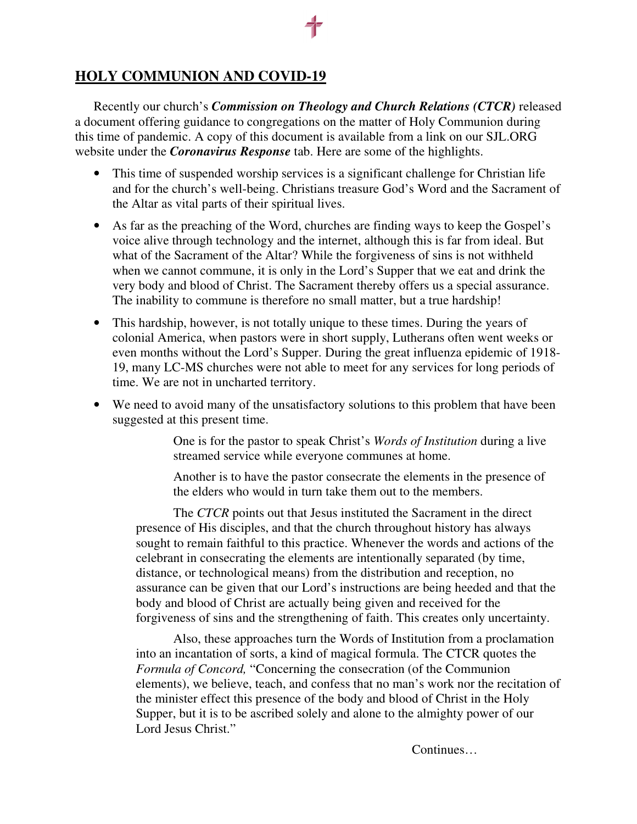## **HOLY COMMUNION AND COVID-19**

Recently our church's *Commission on Theology and Church Relations (CTCR)* released a document offering guidance to congregations on the matter of Holy Communion during this time of pandemic. A copy of this document is available from a link on our SJL.ORG website under the *Coronavirus Response* tab. Here are some of the highlights.

- This time of suspended worship services is a significant challenge for Christian life and for the church's well-being. Christians treasure God's Word and the Sacrament of the Altar as vital parts of their spiritual lives.
- As far as the preaching of the Word, churches are finding ways to keep the Gospel's voice alive through technology and the internet, although this is far from ideal. But what of the Sacrament of the Altar? While the forgiveness of sins is not withheld when we cannot commune, it is only in the Lord's Supper that we eat and drink the very body and blood of Christ. The Sacrament thereby offers us a special assurance. The inability to commune is therefore no small matter, but a true hardship!
- This hardship, however, is not totally unique to these times. During the years of colonial America, when pastors were in short supply, Lutherans often went weeks or even months without the Lord's Supper. During the great influenza epidemic of 1918- 19, many LC-MS churches were not able to meet for any services for long periods of time. We are not in uncharted territory.
- We need to avoid many of the unsatisfactory solutions to this problem that have been suggested at this present time.

One is for the pastor to speak Christ's *Words of Institution* during a live streamed service while everyone communes at home.

Another is to have the pastor consecrate the elements in the presence of the elders who would in turn take them out to the members.

The *CTCR* points out that Jesus instituted the Sacrament in the direct presence of His disciples, and that the church throughout history has always sought to remain faithful to this practice. Whenever the words and actions of the celebrant in consecrating the elements are intentionally separated (by time, distance, or technological means) from the distribution and reception, no assurance can be given that our Lord's instructions are being heeded and that the body and blood of Christ are actually being given and received for the forgiveness of sins and the strengthening of faith. This creates only uncertainty.

Also, these approaches turn the Words of Institution from a proclamation into an incantation of sorts, a kind of magical formula. The CTCR quotes the *Formula of Concord,* "Concerning the consecration (of the Communion elements), we believe, teach, and confess that no man's work nor the recitation of the minister effect this presence of the body and blood of Christ in the Holy Supper, but it is to be ascribed solely and alone to the almighty power of our Lord Jesus Christ."

Continues…